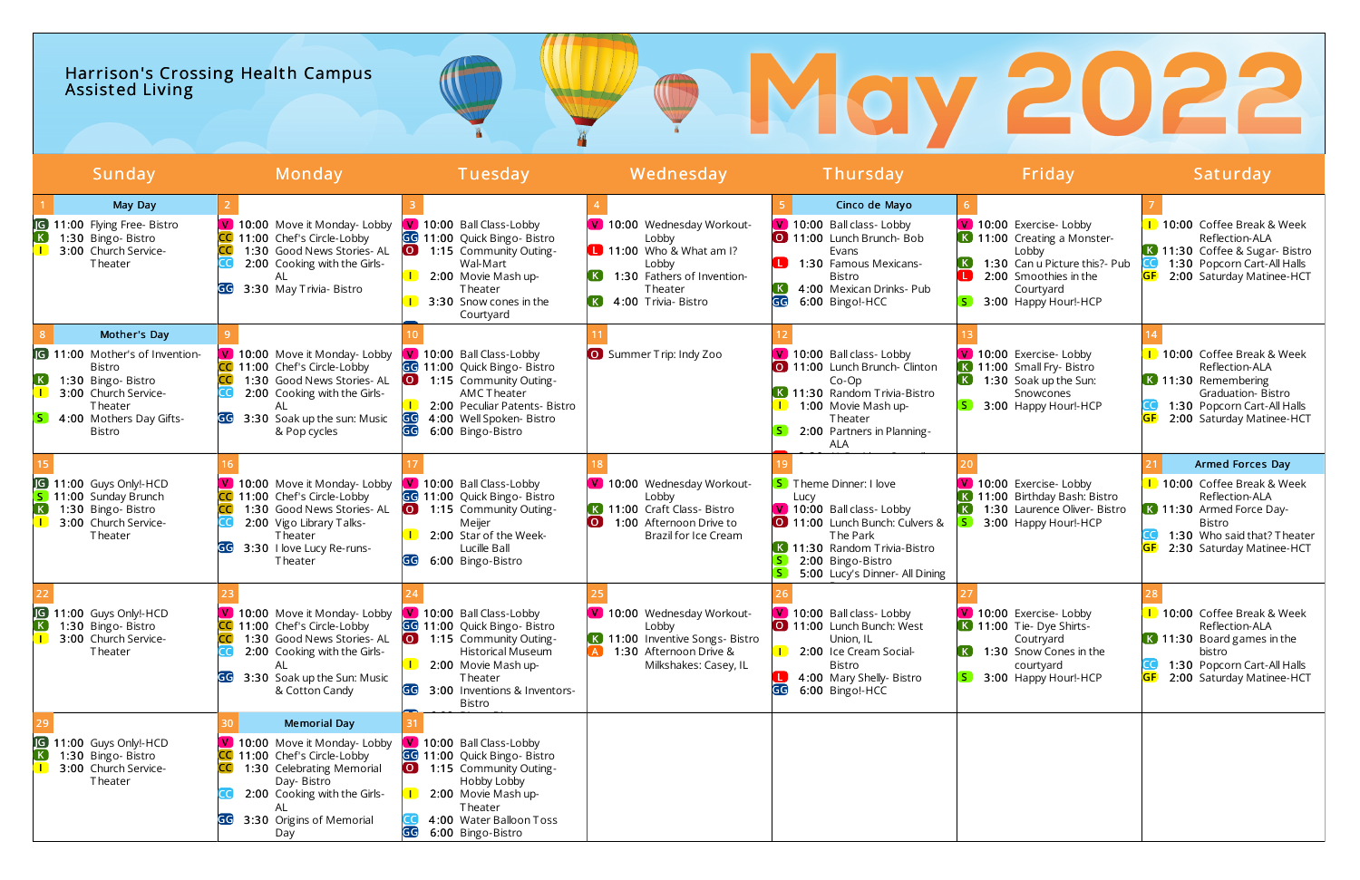## Harrison's Crossing Health Campus Assist ed Living

|                            | Sunday                                                                                                                                                              | Monday                                                                                                                                                                                                                  | Tuesday                                                                                                                                                                                                          | Wednesday                                                                                                                                                                           | Thursday                                                                                                                                                                                                        | Friday                                                                                                                                                         | Saturday                                                                                                                                                            |
|----------------------------|---------------------------------------------------------------------------------------------------------------------------------------------------------------------|-------------------------------------------------------------------------------------------------------------------------------------------------------------------------------------------------------------------------|------------------------------------------------------------------------------------------------------------------------------------------------------------------------------------------------------------------|-------------------------------------------------------------------------------------------------------------------------------------------------------------------------------------|-----------------------------------------------------------------------------------------------------------------------------------------------------------------------------------------------------------------|----------------------------------------------------------------------------------------------------------------------------------------------------------------|---------------------------------------------------------------------------------------------------------------------------------------------------------------------|
| $\left( \mathbf{K}\right)$ | May Day<br><b>G</b> 11:00 Flying Free- Bistro<br>1:30 Bingo-Bistro<br>3:00 Church Service-<br>Theater                                                               | V 10:00 Move it Monday- Lobby<br>CC 11:00 Chef's Circle-Lobby<br>1:30 Good News Stories-AL<br>2:00 Cooking with the Girls-<br>AL<br>3:30 May Trivia- Bistro<br>GG                                                       | V 10:00 Ball Class-Lobby<br>GG 11:00 Quick Bingo- Bistro<br>1:15 Community Outing-<br>$\overline{O}$<br>Wal-Mart<br>2:00 Movie Mash up-<br>Theater<br>3:30 Snow cones in the<br>Courtyard                        | V 10:00 Wednesday Workout-<br>Lobby<br>$\blacksquare$ 11:00 Who & What am I?<br>Lobby<br>1:30 Fathers of Invention-<br>Theater<br>$\left( \mathbf{K}\right)$<br>4:00 Trivia- Bistro | Cinco de Mayo<br>V 10:00 Ball class- Lobby<br>11:00 Lunch Brunch- Bob<br>Evans<br>1:30 Famous Mexicans-<br>l Bibli<br>Bistro<br>$\left( \mathbf{K}\right)$<br>4:00 Mexican Drinks- Pub<br>GG<br>6:00 Bingo!-HCC | V 10:00 Exercise- Lobby<br>K 11:00 Creating a Monster-<br>Lobby<br>1:30 Can u Picture this?- Pub<br>2:00 Smoothies in the<br>Courtyard<br>3:00 Happy Hour!-HCP | 1 10:00 Coffee Break & Week<br>Reflection-ALA<br>K 11:30 Coffee & Sugar- Bistro<br>1:30 Popcorn Cart-All Halls<br>2:00 Saturday Matinee-HCT                         |
| . K .<br>-S I              | Mother's Day<br><b>G</b> 11:00 Mother's of Invention-<br><b>Bistro</b><br>1:30 Bingo-Bistro<br>3:00 Church Service-<br>Theater<br>4:00 Mothers Day Gifts-<br>Bistro | V 10:00 Move it Monday- Lobby<br>CC 11:00 Chef's Circle-Lobby<br>1:30 Good News Stories-AL<br>2:00 Cooking with the Girls-<br>3:30 Soak up the sun: Music<br>& Pop cycles                                               | V 10:00 Ball Class-Lobby<br>GG 11:00 Quick Bingo- Bistro<br>1:15 Community Outing-<br>$\overline{O}$<br>AMC Theater<br>2:00 Peculiar Patents- Bistro<br>GG<br>4:00 Well Spoken- Bistro<br>G<br>6:00 Bingo-Bistro | <b>O</b> Summer Trip: Indy Zoo                                                                                                                                                      | V 10:00 Ball class- Lobby<br>0 11:00 Lunch Brunch Clinton<br>$Co-Op$<br>K 11:30 Random Trivia-Bistro<br>1:00 Movie Mash up-<br>Theater<br>2:00 Partners in Planning-<br>ALA                                     | V 10:00 Exercise- Lobby<br>K 11:00 Small Fry- Bistro<br>1:30 Soak up the Sun:<br>Snowcones<br>3:00 Happy Hour!-HCP                                             | 1 10:00 Coffee Break & Week<br>Reflection-ALA<br>K 11:30 Remembering<br>Graduation-Bistro<br>1:30 Popcorn Cart-All Halls<br>2:00 Saturday Matinee-HCT               |
| [K]                        | <b>G</b> 11:00 Guys Only!-HCD<br>S 11:00 Sunday Brunch<br>1:30 Bingo-Bistro<br>3:00 Church Service-<br>Theater                                                      | V 10:00 Move it Monday- Lobby<br>CC 11:00 Chef's Circle-Lobby<br>1:30 Good News Stories- AL<br>2:00 Vigo Library Talks-<br>Theater<br>3:30 I love Lucy Re-runs-<br><b>Theater</b>                                       | V 10:00 Ball Class-Lobby<br>GG 11:00 Quick Bingo- Bistro<br>$\overline{S}$<br>1:15 Community Outing-<br>Meijer<br>2:00 Star of the Week-<br>Lucille Ball<br>6:00 Bingo-Bistro                                    | V 10:00 Wednesday Workout-<br>Lobby<br>K 11:00 Craft Class-Bistro<br>1:00 Afternoon Drive to<br>Brazil for Ice Cream                                                                | <b>S</b> Theme Dinner: I love<br>Lucy<br>V 10:00 Ball class- Lobby<br>11:00 Lunch Bunch: Culvers &<br>The Park<br>K 11:30 Random Trivia-Bistro<br>2:00 Bingo-Bistro<br>5:00 Lucy's Dinner- All Dining           | V 10:00 Exercise- Lobby<br>11:00 Birthday Bash: Bistro<br>$\left( \mathbf{K}\right)$<br>1:30 Laurence Oliver- Bistro<br>3:00 Happy Hour!-HCP                   | Armed Forces Day<br>1 10:00 Coffee Break & Week<br>Reflection-ALA<br>K 11:30 Armed Force Day-<br>Bistro<br>1:30 Who said that? Theater<br>2:30 Saturday Matinee-HCT |
| JG)<br> K                  | 11:00 Guys Only!-HCD<br>1:30 Bingo-Bistro<br>3:00 Church Service-<br>Theater                                                                                        | V 10:00 Move it Monday- Lobby<br>CC 11:00 Chef's Circle-Lobby<br>1:30 Good News Stories-AL<br>2:00 Cooking with the Girls-<br>AL<br>GG 3:30 Soak up the Sun: Music<br>& Cotton Candy                                    | V 10:00 Ball Class-Lobby<br>GG 11:00 Quick Bingo- Bistro<br>[O]<br>1:15 Community Outing-<br>Historical Museum<br>2:00 Movie Mash up-<br>Theater<br>GG<br>3:00 Inventions & Inventors-<br>Bistro                 | V 10:00 Wednesday Workout-<br>Lobby<br>K 11:00 Inventive Songs- Bistro<br>1:30 Afternoon Drive &<br>Milkshakes: Casey, IL                                                           | V 10:00 Ball class- Lobby<br>0 11:00 Lunch Bunch: West<br>Union, IL<br>2:00 Ice Cream Social-<br><b>Bistro</b><br>4:00 Mary Shelly- Bistro<br>GG<br>6:00 Bingo!-HCC                                             | V 10:00 Exercise- Lobby<br>$\overline{K}$ 11:00 Tie-Dye Shirts-<br>Coutryard<br>$K$ .<br>1:30 Snow Cones in the<br>courtyard<br>3:00 Happy Hour!-HCP           | 1 10:00 Coffee Break & Week<br>Reflection-ALA<br>K 11:30 Board games in the<br>bistro<br>1:30 Popcorn Cart-All Halls<br><b>GF</b><br>2:00 Saturday Matinee-HCT      |
| $\left( \mathbf{K}\right)$ | <b>IG</b> 11:00 Guys Only!-HCD<br>1:30 Bingo-Bistro<br>3:00 Church Service-<br>Theater                                                                              | <b>Memorial Day</b><br>V 10:00 Move it Monday- Lobby<br>CC 11:00 Chef's Circle-Lobby<br>1:30 Celebrating Memorial<br>ICCI<br>Day- Bistro<br>2:00 Cooking with the Girls-<br>AL<br>3:30 Origins of Memorial<br>GG<br>Day | V 10:00 Ball Class-Lobby<br>GG 11:00 Quick Bingo- Bistro<br>1:15 Community Outing-<br>$\overline{O}$<br>Hobby Lobby<br>2:00 Movie Mash up-<br>Theater<br>4:00 Water Balloon Toss<br>GG<br>6:00 Bingo-Bistro      |                                                                                                                                                                                     |                                                                                                                                                                                                                 |                                                                                                                                                                |                                                                                                                                                                     |

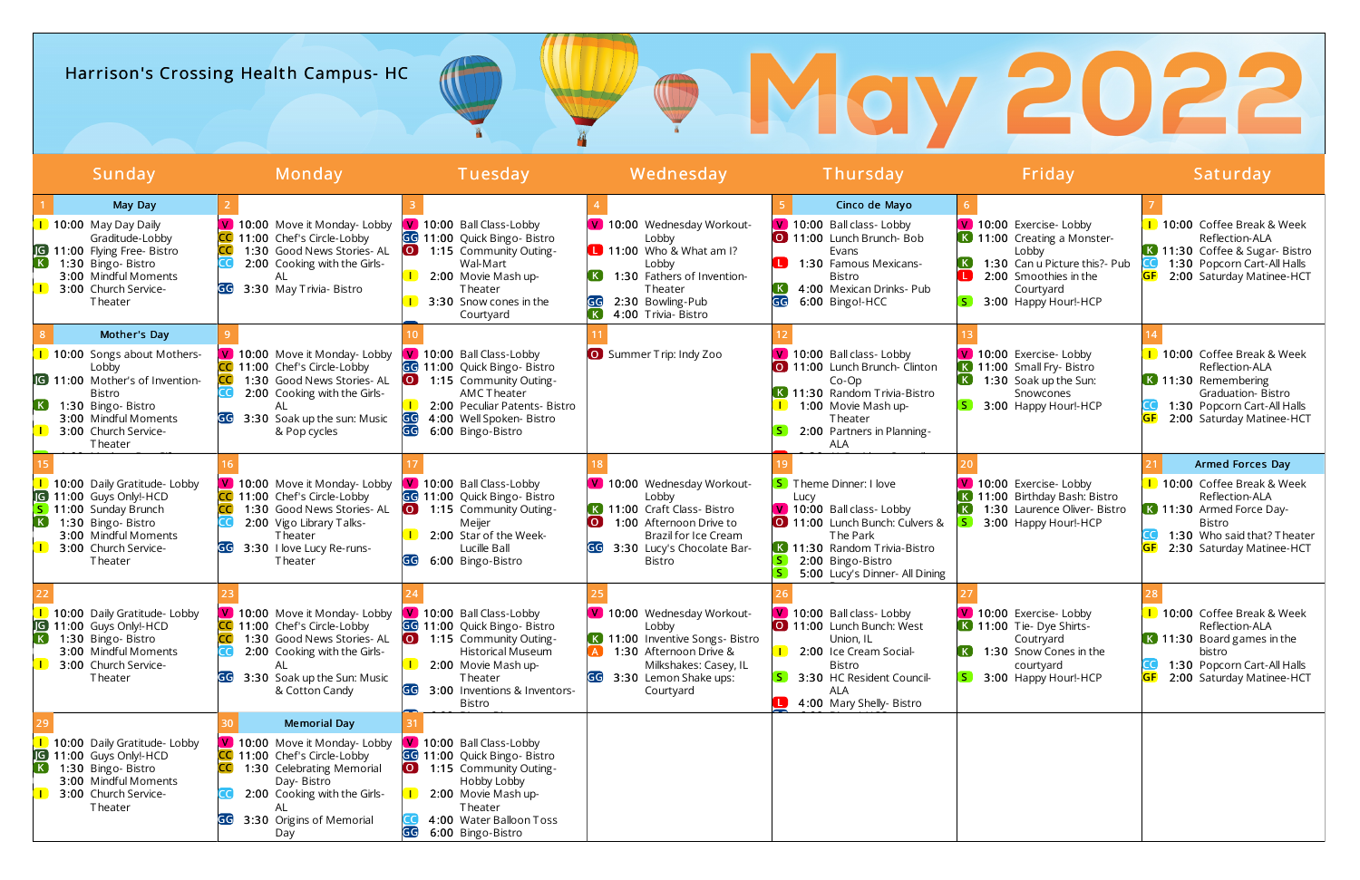# Harrison's Crossing Health Campus- HC

| Sunday                                                                                                                                                                                        | Monday                                                                                                                                                                                                   | Tuesday                                                                                                                                                                                                                           | Wednesday                                                                                                                                                                                             | Thursday                                                                                                                                                                                              | Friday                                                                                                                                                         | Saturday                                                                                                                                                                   |
|-----------------------------------------------------------------------------------------------------------------------------------------------------------------------------------------------|----------------------------------------------------------------------------------------------------------------------------------------------------------------------------------------------------------|-----------------------------------------------------------------------------------------------------------------------------------------------------------------------------------------------------------------------------------|-------------------------------------------------------------------------------------------------------------------------------------------------------------------------------------------------------|-------------------------------------------------------------------------------------------------------------------------------------------------------------------------------------------------------|----------------------------------------------------------------------------------------------------------------------------------------------------------------|----------------------------------------------------------------------------------------------------------------------------------------------------------------------------|
| May Day<br>10:00 May Day Daily<br>Graditude-Lobby<br>G 11:00 Flying Free- Bistro<br>1:30 Bingo-Bistro<br>3:00 Mindful Moments<br>3:00 Church Service-<br>Theater                              | V 10:00 Move it Monday- Lobby<br>CC 11:00 Chef's Circle-Lobby<br>1:30 Good News Stories-AL<br>2:00 Cooking with the Girls-<br>AL<br>3:30 May Trivia- Bistro<br>GG                                        | V 10:00 Ball Class-Lobby<br>GG 11:00 Quick Bingo- Bistro<br>1:15 Community Outing-<br>Wal-Mart<br>2:00 Movie Mash up-<br>Theater<br>3:30 Snow cones in the<br>Courtyard                                                           | V 10:00 Wednesday Workout-<br>Lobby<br>$\Box$ 11:00 Who & What am I?<br>Lobby<br>1:30 Fathers of Invention-<br>Theater<br>GG<br>2:30 Bowling-Pub<br>$\left( \mathbf{K}\right)$<br>4:00 Trivia- Bistro | Cinco de Mayo<br>V 10:00 Ball class- Lobby<br>0 11:00 Lunch Brunch-Bob<br>Evans<br><b>I</b><br>1:30 Famous Mexicans-<br><b>Bistro</b><br>4:00 Mexican Drinks- Pub<br>GG<br>6:00 Bingo!-HCC            | V 10:00 Exercise- Lobby<br>K 11:00 Creating a Monster-<br>Lobby<br>1:30 Can u Picture this?- Pub<br>2:00 Smoothies in the<br>Courtyard<br>3:00 Happy Hour!-HCP | 1 10:00 Coffee Break & Week<br>Reflection-ALA<br>K 11:30 Coffee & Sugar- Bistro<br>1:30 Popcorn Cart-All Halls<br>2:00 Saturday Matinee-HCT                                |
| Mother's Day<br>10:00 Songs about Mothers-<br>Lobby<br><b>G</b> 11:00 Mother's of Invention-<br><b>Bistro</b><br>1:30 Bingo-Bistro<br>3:00 Mindful Moments<br>3:00 Church Service-<br>Theater | V 10:00 Move it Monday- Lobby<br>CC 11:00 Chef's Circle-Lobby<br>1:30 Good News Stories-AL<br>2:00 Cooking with the Girls-<br>3:30 Soak up the sun: Music<br>& Pop cycles                                | V 10:00 Ball Class-Lobby<br>GG 11:00 Quick Bingo- Bistro<br>1:15 Community Outing-<br>$\overline{\mathbf{O}}$<br><b>AMC Theater</b><br>2:00 Peculiar Patents- Bistro<br>GG<br>4:00 Well Spoken- Bistro<br>GG<br>6:00 Bingo-Bistro | <b>O</b> Summer Trip: Indy Zoo                                                                                                                                                                        | V 10:00 Ball class- Lobby<br>11:00 Lunch Brunch- Clinton<br>$Co-Op$<br>K 11:30 Random Trivia-Bistro<br>1:00 Movie Mash up-<br>Theater<br>2:00 Partners in Planning-<br><b>ALA</b>                     | V 10:00 Exercise- Lobby<br>11:00 Small Fry- Bistro<br>$\lfloor\,$ K $\rfloor$<br>1:30 Soak up the Sun:<br>Snowcones<br>3:00 Happy Hour!-HCP                    | 1 10:00 Coffee Break & Week<br>Reflection-ALA<br>K 11:30 Remembering<br>Graduation-Bistro<br>1:30 Popcorn Cart-All Halls<br>2:00 Saturday Matinee-HCT                      |
| 10:00 Daily Gratitude- Lobby<br><b>IG</b> 11:00 Guys Only!-HCD<br>11:00 Sunday Brunch<br>1:30 Bingo-Bistro<br>3:00 Mindful Moments<br>3:00 Church Service-<br>Theater                         | V 10:00 Move it Monday- Lobby<br>CC 11:00 Chef's Circle-Lobby<br>1:30 Good News Stories-AL<br>2:00 Vigo Library Talks-<br>Theater<br>GG<br>3:30 I love Lucy Re-runs-<br>Theater                          | V 10:00 Ball Class-Lobby<br>GG 11:00 Quick Bingo- Bistro<br>1:15 Community Outing-<br>Meijer<br>2:00 Star of the Week-<br>Lucille Ball<br>6:00 Bingo-Bistro<br>GG                                                                 | V 10:00 Wednesday Workout-<br>Lobby<br>K 11:00 Craft Class- Bistro<br>$\overline{O}$ $\overline{O}$<br>1:00 Afternoon Drive to<br>Brazil for Ice Cream<br>3:30 Lucy's Chocolate Bar-<br>Bistro        | <b>S</b> Theme Dinner: I love<br>Lucy<br>V 10:00 Ball class- Lobby<br>11:00 Lunch Bunch: Culvers &<br>The Park<br>K 11:30 Random Trivia-Bistro<br>2:00 Bingo-Bistro<br>5:00 Lucy's Dinner- All Dining | 10:00 Exercise- Lobby<br>11:00 Birthday Bash: Bistro<br>1:30 Laurence Oliver- Bistro<br>3:00 Happy Hour!-HCP                                                   | Armed Forces Day<br>1 10:00 Coffee Break & Week<br>Reflection-ALA<br>K 11:30 Armed Force Day-<br><b>Bistro</b><br>1:30 Who said that? Theater<br>2:30 Saturday Matinee-HCT |
| 10:00 Daily Gratitude- Lobby<br>G 11:00 Guys Only!-HCD<br>1:30 Bingo-Bistro<br>3:00 Mindful Moments<br>3:00 Church Service-<br>Theater                                                        | V 10:00 Move it Monday- Lobby<br>CC 11:00 Chef's Circle-Lobby<br>1:30 Good News Stories-AL<br>2:00 Cooking with the Girls-<br>AL<br>3:30 Soak up the Sun: Music<br>& Cotton Candy                        | V 10:00 Ball Class-Lobby<br>GG 11:00 Quick Bingo- Bistro<br>$\overline{\mathbf{O}}$<br>1:15 Community Outing-<br>Historical Museum<br>2:00 Movie Mash up-<br>Theater<br>3:00 Inventions & Inventors-<br>GG<br>Bistro              | V 10:00 Wednesday Workout-<br>Lobby<br>K 11:00 Inventive Songs- Bistro<br>1:30 Afternoon Drive &<br>Milkshakes: Casey, IL<br>3:30 Lemon Shake ups:<br>Courtyard                                       | V 10:00 Ball class- Lobby<br>11:00 Lunch Bunch: West<br>Union, IL<br><b>1</b> 2:00 Ice Cream Social-<br><b>Bistro</b><br>3:30 HC Resident Council-<br>ALA<br>4:00 Mary Shelly- Bistro                 | V 10:00 Exercise- Lobby<br>K 11:00 Tie-Dye Shirts-<br>Coutryard<br>1:30 Snow Cones in the<br>courtyard<br>3:00 Happy Hour!-HCP                                 | 1 10:00 Coffee Break & Week<br>Reflection-ALA<br>K 11:30 Board games in the<br>bistro<br>1:30 Popcorn Cart-All Halls<br>2:00 Saturday Matinee-HCT                          |
| 1 10:00 Daily Gratitude- Lobby<br><b>IG</b> 11:00 Guys Only!-HCD<br>1:30 Bingo-Bistro<br>3:00 Mindful Moments<br>3:00 Church Service-<br>Theater                                              | <b>Memorial Day</b><br>V 10:00 Move it Monday- Lobby<br>CC 11:00 Chef's Circle-Lobby<br>1:30 Celebrating Memorial<br>Day-Bistro<br>2:00 Cooking with the Girls-<br>AL<br>3:30 Origins of Memorial<br>Day | V 10:00 Ball Class-Lobby<br>GG 11:00 Quick Bingo- Bistro<br>1:15 Community Outing-<br>$\overline{O}$<br>Hobby Lobby<br>2:00 Movie Mash up-<br>Theater<br>4:00 Water Balloon Toss<br>6:00 Bingo-Bistro<br>GG                       |                                                                                                                                                                                                       |                                                                                                                                                                                                       |                                                                                                                                                                |                                                                                                                                                                            |

W